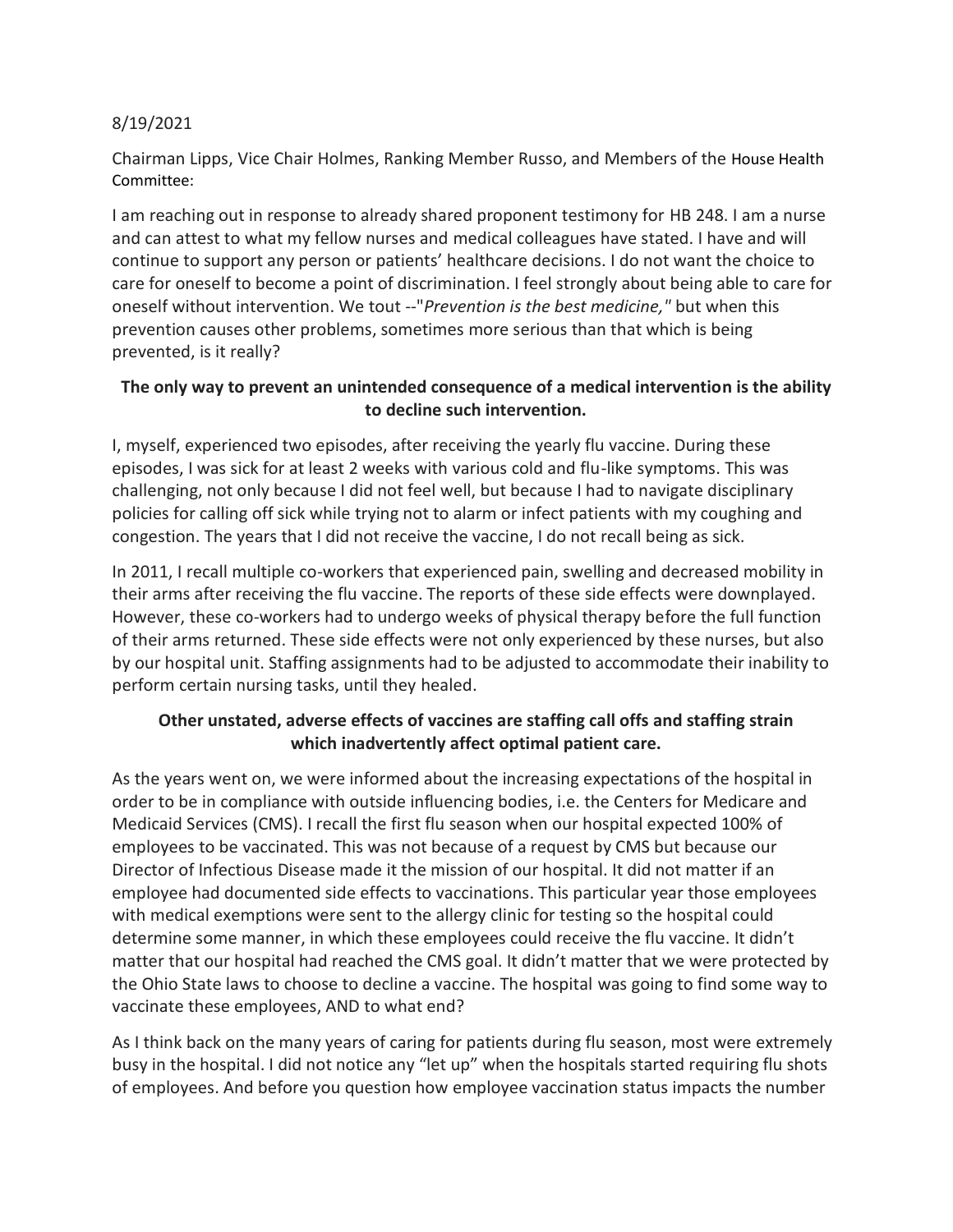## 8/19/2021

Chairman Lipps, Vice Chair Holmes, Ranking Member Russo, and Members of the House Health Committee:

I am reaching out in response to already shared proponent testimony for HB 248. I am a nurse and can attest to what my fellow nurses and medical colleagues have stated. I have and will continue to support any person or patients' healthcare decisions. I do not want the choice to care for oneself to become a point of discrimination. I feel strongly about being able to care for oneself without intervention. We tout --"*Prevention is the best medicine,"* but when this prevention causes other problems, sometimes more serious than that which is being prevented, is it really?

## **The only way to prevent an unintended consequence of a medical intervention is the ability to decline such intervention.**

I, myself, experienced two episodes, after receiving the yearly flu vaccine. During these episodes, I was sick for at least 2 weeks with various cold and flu-like symptoms. This was challenging, not only because I did not feel well, but because I had to navigate disciplinary policies for calling off sick while trying not to alarm or infect patients with my coughing and congestion. The years that I did not receive the vaccine, I do not recall being as sick.

In 2011, I recall multiple co-workers that experienced pain, swelling and decreased mobility in their arms after receiving the flu vaccine. The reports of these side effects were downplayed. However, these co-workers had to undergo weeks of physical therapy before the full function of their arms returned. These side effects were not only experienced by these nurses, but also by our hospital unit. Staffing assignments had to be adjusted to accommodate their inability to perform certain nursing tasks, until they healed.

## **Other unstated, adverse effects of vaccines are staffing call offs and staffing strain which inadvertently affect optimal patient care.**

As the years went on, we were informed about the increasing expectations of the hospital in order to be in compliance with outside influencing bodies, i.e. the Centers for Medicare and Medicaid Services (CMS). I recall the first flu season when our hospital expected 100% of employees to be vaccinated. This was not because of a request by CMS but because our Director of Infectious Disease made it the mission of our hospital. It did not matter if an employee had documented side effects to vaccinations. This particular year those employees with medical exemptions were sent to the allergy clinic for testing so the hospital could determine some manner, in which these employees could receive the flu vaccine. It didn't matter that our hospital had reached the CMS goal. It didn't matter that we were protected by the Ohio State laws to choose to decline a vaccine. The hospital was going to find some way to vaccinate these employees, AND to what end?

As I think back on the many years of caring for patients during flu season, most were extremely busy in the hospital. I did not notice any "let up" when the hospitals started requiring flu shots of employees. And before you question how employee vaccination status impacts the number